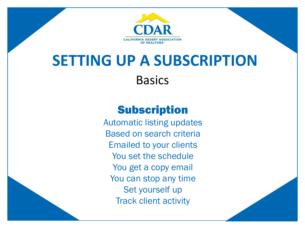

### **SETTING UP A SUBSCRIPTION Basics**

### **Subscription**

Automatic listing updates Based on search criteria Emailed to your clients You set the schedule You get a copy email You can stop any time Set yourself up Track client activity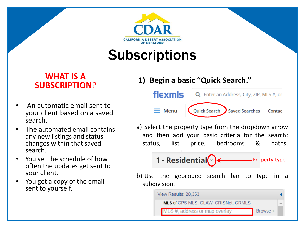

### **Subscriptions**

#### **WHAT IS A SUBSCRIPTION**?

- An automatic email sent to your client based on a saved search.
- The automated email contains any new listings and status changes within that saved search.
- You set the schedule of how often the updates get sent to your client.
- You get a copy of the email sent to yourself.

#### **1) Begin a basic "Quick Search."**



a) Select the property type from the dropdown arrow and then add your basic criteria for the search: status, list price, bedrooms & baths.

Property type

b) Use the geocoded search bar to type in a subdivision.

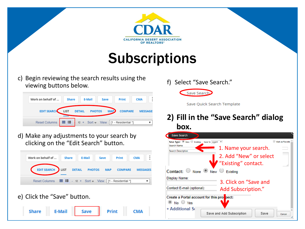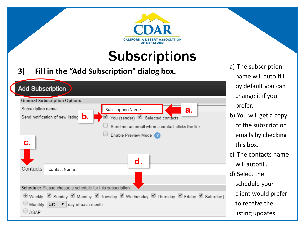

# **Subscriptions**

#### **3) Fill in the "Add Subscription" dialog box.**

| <b>Add Subscription</b>                                                          |
|----------------------------------------------------------------------------------|
| <b>General Subscription Options</b>                                              |
| Subscription name<br><b>Subscription Name</b><br>а.                              |
| b.<br>Send notification of new listing<br>You (sender) Selected contacts         |
| Send me an email when a contact clicks the link                                  |
| Enable Preview Mode 2<br>С.                                                      |
| $\mathbf d$ .                                                                    |
| Contacts<br><b>Contact Name</b>                                                  |
| Schedule: Please choose a schedule for this subscription                         |
| © Weekly: Ø Sunday Ø Monday Ø Tuesday Ø Wednesday Ø Thursday Ø Friday Ø Saturday |
| $\bigcirc$ Monthly: 1st $\bullet$ day of each month                              |
| ASAP                                                                             |

- a) The subscription name will auto fill by default you can change it if you prefer.
- b) You will get a copy of the subscription emails by checking this box.
- c) The contacts name will autofill.
- d) Select the schedule your client would prefer to receive the listing updates.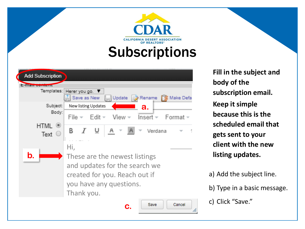# **CALIFORNIA DESERT ASSOCIATION** OF REALTORS® **Subscriptions**

| <b>Add Subscription</b>  |                                                                                                                                                 |
|--------------------------|-------------------------------------------------------------------------------------------------------------------------------------------------|
| <b>EXTREMENDAMENTAL</b>  |                                                                                                                                                 |
|                          | Templates: Herer you go.<br>Save as New<br>Update  <br>⊟ <mark>≫</mark> Rename<br>Make Defa                                                     |
| Subject:                 | <b>New listing Updates</b><br>а.                                                                                                                |
| Body:                    | Edit $\ast$ View $\ast$ Insert $\ast$<br>– Format ≖<br>File –                                                                                   |
| $(\blacksquare)$<br>Text | R<br>A<br>Verdana                                                                                                                               |
| $\mathbf b$ .            | Hi,<br>These are the newest listings<br>and updates for the search we<br>created for you. Reach out if<br>you have any questions.<br>Thank you. |
|                          | Save<br>Cancel                                                                                                                                  |

**Fill in the subject and body of the subscription email. Keep it simple because this is the scheduled email that gets sent to your client with the new listing updates.** 

a) Add the subject line.

b) Type in a basic message.

c) Click "Save."

/ı.